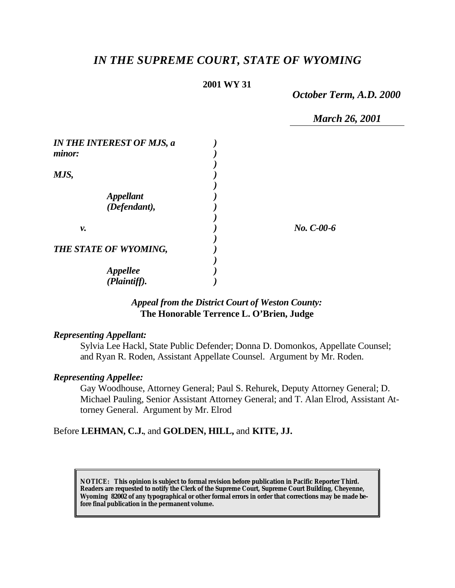# *IN THE SUPREME COURT, STATE OF WYOMING*

#### **2001 WY 31**

*October Term, A.D. 2000*

*March 26, 2001*

| <b>IN THE INTEREST OF MJS, a</b><br>minor: |              |
|--------------------------------------------|--------------|
| MJS,                                       |              |
|                                            |              |
| <i><b>Appellant</b></i>                    |              |
| (Defendant),                               |              |
|                                            |              |
| ν.                                         | $No. C-00-6$ |
|                                            |              |
| THE STATE OF WYOMING,                      |              |
|                                            |              |
| <b>Appellee</b>                            |              |
| (Plaintiff).                               |              |

# *Appeal from the District Court of Weston County:* **The Honorable Terrence L. O'Brien, Judge**

#### *Representing Appellant:*

Sylvia Lee Hackl, State Public Defender; Donna D. Domonkos, Appellate Counsel; and Ryan R. Roden, Assistant Appellate Counsel. Argument by Mr. Roden.

#### *Representing Appellee:*

Gay Woodhouse, Attorney General; Paul S. Rehurek, Deputy Attorney General; D. Michael Pauling, Senior Assistant Attorney General; and T. Alan Elrod, Assistant Attorney General. Argument by Mr. Elrod

#### Before **LEHMAN, C.J.**, and **GOLDEN, HILL,** and **KITE, JJ.**

**NOTICE:** *This opinion is subject to formal revision before publication in Pacific Reporter Third. Readers are requested to notify the Clerk of the Supreme Court, Supreme Court Building, Cheyenne, Wyoming 82002 of any typographical or other formal errors in order that corrections may be made before final publication in the permanent volume.*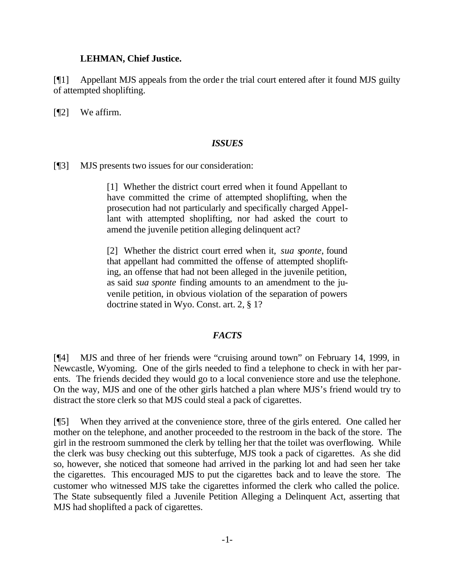#### **LEHMAN, Chief Justice.**

[¶1] Appellant MJS appeals from the order the trial court entered after it found MJS guilty of attempted shoplifting.

[**[**[2] We affirm.

#### *ISSUES*

[¶3] MJS presents two issues for our consideration:

[1] Whether the district court erred when it found Appellant to have committed the crime of attempted shoplifting, when the prosecution had not particularly and specifically charged Appellant with attempted shoplifting, nor had asked the court to amend the juvenile petition alleging delinquent act?

[2] Whether the district court erred when it, *sua sponte*, found that appellant had committed the offense of attempted shoplifting, an offense that had not been alleged in the juvenile petition, as said *sua sponte* finding amounts to an amendment to the juvenile petition, in obvious violation of the separation of powers doctrine stated in Wyo. Const. art. 2, § 1?

## *FACTS*

[¶4] MJS and three of her friends were "cruising around town" on February 14, 1999, in Newcastle, Wyoming. One of the girls needed to find a telephone to check in with her parents. The friends decided they would go to a local convenience store and use the telephone. On the way, MJS and one of the other girls hatched a plan where MJS's friend would try to distract the store clerk so that MJS could steal a pack of cigarettes.

[¶5] When they arrived at the convenience store, three of the girls entered. One called her mother on the telephone, and another proceeded to the restroom in the back of the store. The girl in the restroom summoned the clerk by telling her that the toilet was overflowing. While the clerk was busy checking out this subterfuge, MJS took a pack of cigarettes. As she did so, however, she noticed that someone had arrived in the parking lot and had seen her take the cigarettes. This encouraged MJS to put the cigarettes back and to leave the store. The customer who witnessed MJS take the cigarettes informed the clerk who called the police. The State subsequently filed a Juvenile Petition Alleging a Delinquent Act, asserting that MJS had shoplifted a pack of cigarettes.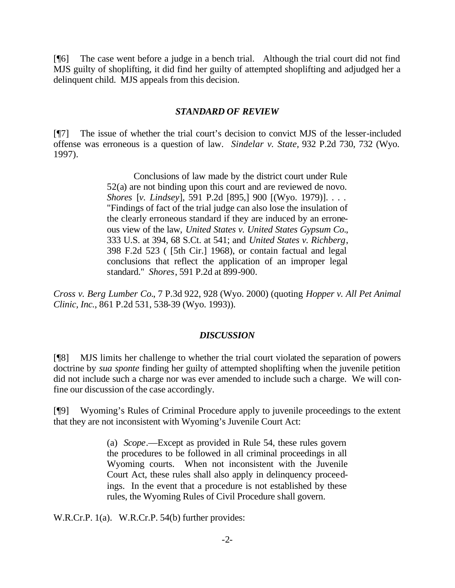[¶6] The case went before a judge in a bench trial. Although the trial court did not find MJS guilty of shoplifting, it did find her guilty of attempted shoplifting and adjudged her a delinquent child. MJS appeals from this decision.

#### *STANDARD OF REVIEW*

[¶7] The issue of whether the trial court's decision to convict MJS of the lesser-included offense was erroneous is a question of law. *Sindelar v. State,* 932 P.2d 730, 732 (Wyo. 1997).

> Conclusions of law made by the district court under Rule 52(a) are not binding upon this court and are reviewed de novo. *Shores* [*v. Lindsey*], 591 P.2d [895,] 900 [(Wyo. 1979)]. . . . "Findings of fact of the trial judge can also lose the insulation of the clearly erroneous standard if they are induced by an erroneous view of the law, *United States v. United States Gypsum Co.*, 333 U.S. at 394, 68 S.Ct. at 541; and *United States v. Richberg*, 398 F.2d 523 ( [5th Cir.] 1968), or contain factual and legal conclusions that reflect the application of an improper legal standard." *Shores*, 591 P.2d at 899-900.

*Cross v. Berg Lumber Co.*, 7 P.3d 922, 928 (Wyo. 2000) (quoting *Hopper v. All Pet Animal Clinic, Inc.*, 861 P.2d 531, 538-39 (Wyo. 1993)).

## *DISCUSSION*

[¶8] MJS limits her challenge to whether the trial court violated the separation of powers doctrine by *sua sponte* finding her guilty of attempted shoplifting when the juvenile petition did not include such a charge nor was ever amended to include such a charge. We will confine our discussion of the case accordingly.

[¶9] Wyoming's Rules of Criminal Procedure apply to juvenile proceedings to the extent that they are not inconsistent with Wyoming's Juvenile Court Act:

> (a) *Scope*.—Except as provided in Rule 54, these rules govern the procedures to be followed in all criminal proceedings in all Wyoming courts. When not inconsistent with the Juvenile Court Act, these rules shall also apply in delinquency proceedings. In the event that a procedure is not established by these rules, the Wyoming Rules of Civil Procedure shall govern.

W.R.Cr.P. 1(a). W.R.Cr.P. 54(b) further provides: